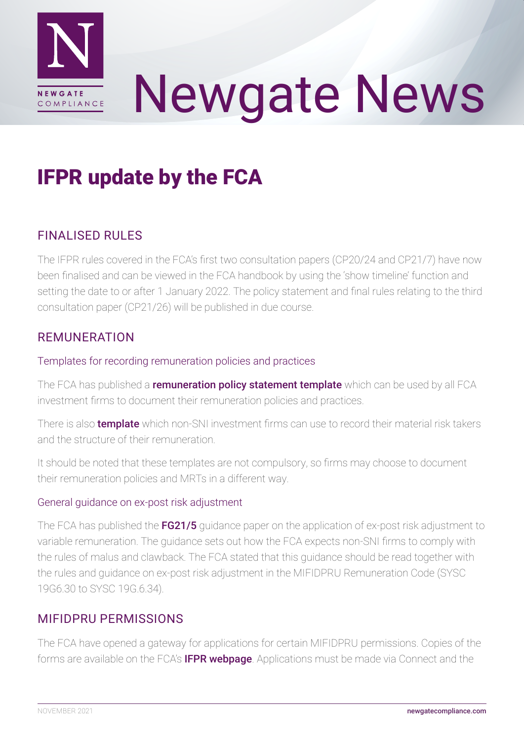

# Newgate News

# IFPR update by the FCA

# FINALISED RULES

The IFPR rules covered in the FCA's first two consultation papers (CP20/24 and CP21/7) have now been finalised and can be viewed in the FCA handbook by using the 'show timeline' function and setting the date to or after 1 January 2022. The policy statement and final rules relating to the third consultation paper (CP21/26) will be published in due course.

# REMUNERATION

### Templates for recording remuneration policies and practices

The FCA has published a [remuneration policy statement template](https://www.fca.org.uk/publication/policy/remuneration-policy-statement-template.docx) which can be used by all FCA investment firms to document their remuneration policies and practices.

There is also **[template](https://www.fca.org.uk/publication/forms/remuneration-material-risk-takers.xlsx)** which non-SNI investment firms can use to record their material risk takers and the structure of their remuneration.

It should be noted that these templates are not compulsory, so firms may choose to document their remuneration policies and MRTs in a different way.

## General guidance on ex-post risk adjustment

The FCA has published the [FG21/5](https://www.fca.org.uk/publication/finalised-guidance/fg21-5.pdf) guidance paper on the application of ex-post risk adjustment to variable remuneration. The guidance sets out how the FCA expects non-SNI firms to comply with the rules of malus and clawback. The FCA stated that this guidance should be read together with the rules and guidance on ex-post risk adjustment in the MIFIDPRU Remuneration Code (SYSC 19G6.30 to SYSC 19G.6.34).

# MIFIDPRU PERMISSIONS

The FCA have opened a gateway for applications for certain MIFIDPRU permissions. Copies of the forms are available on the FCA's **[IFPR webpage](https://www.fca.org.uk/firms/investment-firms-prudential-regime-ifpr)**. Applications must be made via Connect and the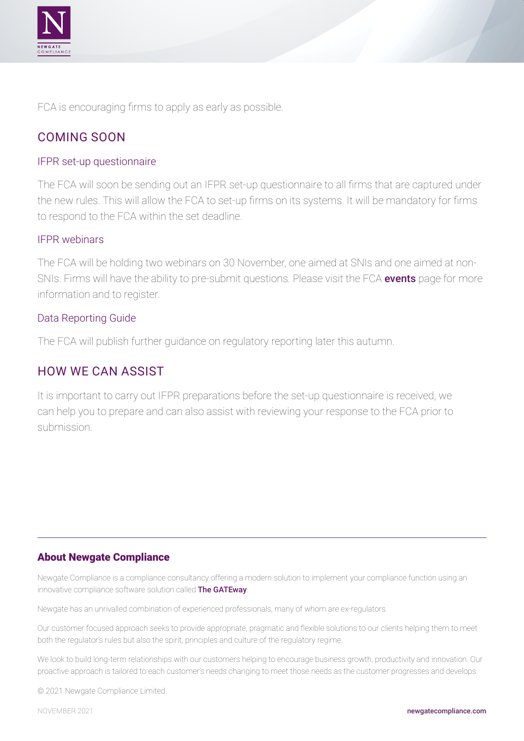

FCA is encouraging firms to apply as early as possible.

# COMING SOON

#### IFPR set-up questionnaire

The FCA will soon be sending out an IFPR set-up questionnaire to all firms that are captured under the new rules. This will allow the FCA to set-up firms on its systems. It will be mandatory for firms to respond to the FCA within the set deadline.

#### IFPR webinars

The FCA will be holding two webinars on 30 November, one aimed at SNIs and one aimed at nonSNIs. Firms will have the ability to pre-submit questions. Please visit the FCA [events](https://www.fca.org.uk/events) page for more information and to register.

#### Data Reporting Guide

The FCA will publish further guidance on regulatory reporting later this autumn.

# HOW WE CAN ASSIST

It is important to carry out IFPR preparations before the set-up questionnaire is received, we can help you to prepare and can also assist with reviewing your response to the FCA prior to submission.

#### About Newgate Compliance

Newgate Compliance is a compliance consultancy offering a modern solution to implement your compliance function using an innovative compliance software solution called [The GATEway](http://newgatecompliance.com/the-gateway-copy).

Newgate has an unrivalled combination of experienced professionals, many of whom are ex-regulators.

Our customer focused approach seeks to provide appropriate, pragmatic and flexible solutions to our clients helping them to meet both the regulator's rules but also the spirit, principles and culture of the regulatory regime.

We look to build long-term relationships with our customers helping to encourage business growth, productivity and innovation. Our proactive approach is tailored to each customer's needs changing to meet those needs as the customer progresses and develops.

© 2021 Newgate Compliance Limited